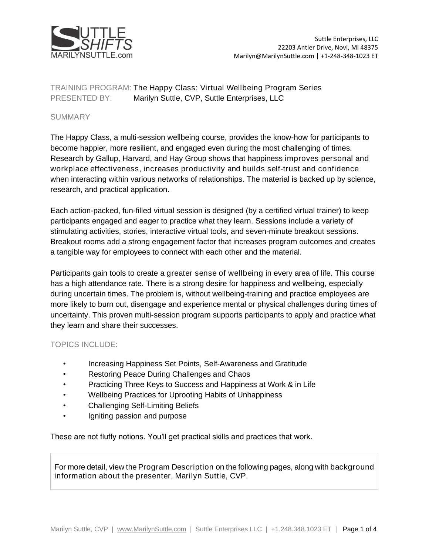

TRAINING PROGRAM: The Happy Class: Virtual Wellbeing Program Series PRESENTED BY: Marilyn Suttle, CVP, Suttle Enterprises, LLC

## SUMMARY

The Happy Class, a multi-session wellbeing course, provides the know-how for participants to become happier, more resilient, and engaged even during the most challenging of times. Research by Gallup, Harvard, and Hay Group shows that happiness improves personal and workplace effectiveness, increases productivity and builds self-trust and confidence when interacting within various networks of relationships. The material is backed up by science, research, and practical application.

Each action-packed, fun-filled virtual session is designed (by a certified virtual trainer) to keep participants engaged and eager to practice what they learn. Sessions include a variety of stimulating activities, stories, interactive virtual tools, and seven-minute breakout sessions. Breakout rooms add a strong engagement factor that increases program outcomes and creates a tangible way for employees to connect with each other and the material.

Participants gain tools to create a greater sense of wellbeing in every area of life. This course has a high attendance rate. There is a strong desire for happiness and wellbeing, especially during uncertain times. The problem is, *without* wellbeing-training and practice employees are more likely to burn out, disengage and experience mental or physical challenges during times of uncertainty. This proven multi-session program supports participants to apply and practice what they learn and share their successes.

## TOPICS INCLUDE:

- Increasing Happiness Set Points, Self-Awareness and Gratitude
- Restoring Peace During Challenges and Chaos
- Practicing Three Keys to Success and Happiness at Work & in Life
- Wellbeing Practices for Uprooting Habits of Unhappiness
- Challenging Self-Limiting Beliefs
- Igniting passion and purpose

These are not fluffy notions. You'll get practical skills and practices that work.

For more detail, view the Program Description on the following pages, along with background information about the presenter, Marilyn Suttle, CVP.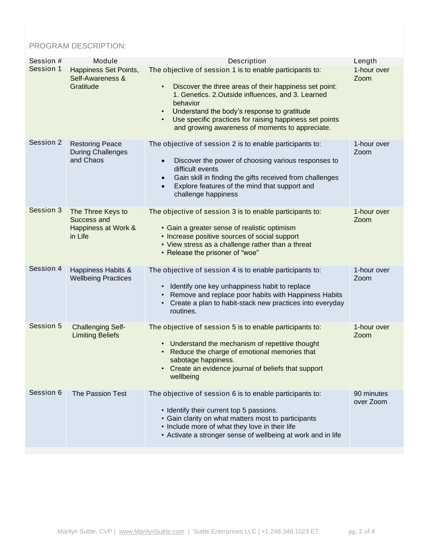## PROGRAM DESCRIPTION:

| Session # | Module                                                             | Description                                                                                                                                                                                                                                                                                                                                                                              | Length                  |
|-----------|--------------------------------------------------------------------|------------------------------------------------------------------------------------------------------------------------------------------------------------------------------------------------------------------------------------------------------------------------------------------------------------------------------------------------------------------------------------------|-------------------------|
| Session 1 | Happiness Set Points,<br>Self-Awareness &<br>Gratitude             | The objective of session 1 is to enable participants to:<br>Discover the three areas of their happiness set point:<br>$\bullet$<br>1. Genetics. 2. Outside influences, and 3. Learned<br>behavior<br>Understand the body's response to gratitude<br>$\bullet$<br>Use specific practices for raising happiness set points<br>$\bullet$<br>and growing awareness of moments to appreciate. | 1-hour over<br>Zoom     |
| Session 2 | <b>Restoring Peace</b><br><b>During Challenges</b><br>and Chaos    | The objective of session 2 is to enable participants to:<br>Discover the power of choosing various responses to<br>$\bullet$<br>difficult events<br>Gain skill in finding the gifts received from challenges<br>$\bullet$<br>Explore features of the mind that support and<br>$\bullet$<br>challenge happiness                                                                           | 1-hour over<br>Zoom     |
| Session 3 | The Three Keys to<br>Success and<br>Happiness at Work &<br>in Life | The objective of session 3 is to enable participants to:<br>• Gain a greater sense of realistic optimism<br>• Increase positive sources of social support<br>• View stress as a challenge rather than a threat<br>• Release the prisoner of "woe"                                                                                                                                        | 1-hour over<br>Zoom     |
| Session 4 | Happiness Habits &<br><b>Wellbeing Practices</b>                   | The objective of session 4 is to enable participants to:<br>• Identify one key unhappiness habit to replace<br>• Remove and replace poor habits with Happiness Habits<br>Create a plan to habit-stack new practices into everyday<br>routines.                                                                                                                                           | 1-hour over<br>Zoom     |
| Session 5 | <b>Challenging Self-</b><br><b>Limiting Beliefs</b>                | The objective of session 5 is to enable participants to:<br>• Understand the mechanism of repetitive thought<br>Reduce the charge of emotional memories that<br>$\bullet$<br>sabotage happiness.<br>• Create an evidence journal of beliefs that support<br>wellbeing                                                                                                                    | 1-hour over<br>Zoom     |
| Session 6 | The Passion Test                                                   | The objective of session 6 is to enable participants to:<br>• Identify their current top 5 passions.<br>• Gain clarity on what matters most to participants<br>• Include more of what they love in their life<br>• Activate a stronger sense of wellbeing at work and in life                                                                                                            | 90 minutes<br>over Zoom |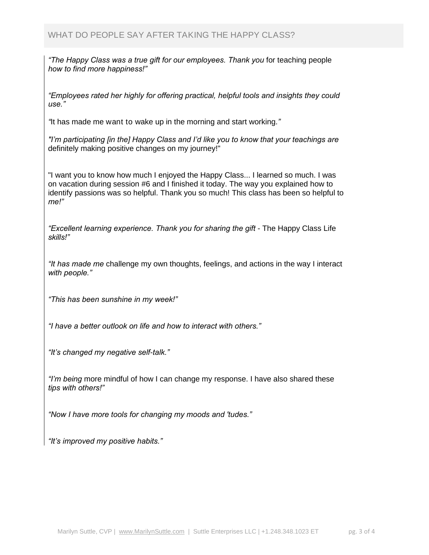*"The Happy Class was a true gift for our employees. Thank you for teaching people how to find more happiness!"*

*"Employees rated her highly for offering practical, helpful tools and insights they could use."*

*"It has made me want to wake up in the morning and start working."*

*"I'm participating [in the] Happy Class and I'd like you to know that your teachings are definitely making positive changes on my journey!"*

*"I want you to know how much I enjoyed the Happy Class... I learned so much. I was on vacation during session #6 and I finished it today. The way you explained how to identify passions was so helpful. Thank you so much! This class has been so helpful to me!"*

*"Excellent learning experience. Thank you for sharing the gift - The Happy Class Life skills!"*

*"It has made me challenge my own thoughts, feelings, and actions in the way I interact with people."*

*"This has been sunshine in my week!"*

*"I have a better outlook on life and how to interact with others."*

*"It's changed my negative self-talk."*

*"I'm being more mindful of how I can change my response. I have also shared these tips with others!"*

*"Now I have more tools for changing my moods and 'tudes."*

*"It's improved my positive habits."*